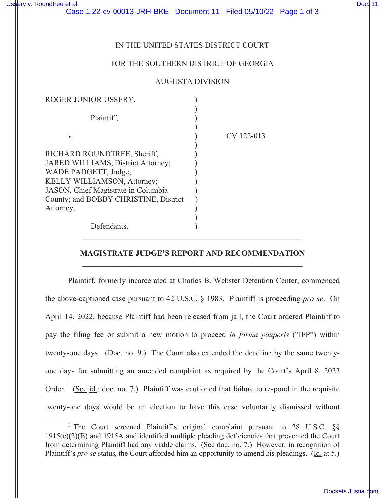# IN THE UNITED STATES DISTRICT COURT

## FOR THE SOUTHERN DISTRICT OF GEORGIA

### AUGUSTA DIVISION

| ROGER JUNIOR USSERY,                                                                                                     |            |
|--------------------------------------------------------------------------------------------------------------------------|------------|
| Plaintiff,                                                                                                               |            |
| V.                                                                                                                       | CV 122-013 |
| RICHARD ROUNDTREE, Sheriff;<br>JARED WILLIAMS, District Attorney;<br>WADE PADGETT, Judge;<br>KELLY WILLIAMSON, Attorney; |            |
| JASON, Chief Magistrate in Columbia<br>County; and BOBBY CHRISTINE, District                                             |            |
| Attorney,                                                                                                                |            |
| Defendants.                                                                                                              |            |

## **MAGISTRATE JUDGE'S REPORT AND RECOMMENDATION**  \_\_\_\_\_\_\_\_\_\_\_\_\_\_\_\_\_\_\_\_\_\_\_\_\_\_\_\_\_\_\_\_\_\_\_\_\_\_\_\_\_\_\_\_\_\_\_\_\_\_\_\_\_\_\_\_

\_\_\_\_\_\_\_\_\_\_\_\_\_\_\_\_\_\_\_\_\_\_\_\_\_\_\_\_\_\_\_\_\_\_\_\_\_\_\_\_\_\_\_\_\_\_\_\_\_\_\_\_\_\_\_\_

Plaintiff, formerly incarcerated at Charles B. Webster Detention Center, commenced the above-captioned case pursuant to 42 U.S.C. § 1983. Plaintiff is proceeding *pro se*. On April 14, 2022, because Plaintiff had been released from jail, the Court ordered Plaintiff to pay the filing fee or submit a new motion to proceed *in forma pauperis* ("IFP") within twenty-one days. (Doc. no. 9.) The Court also extended the deadline by the same twentyone days for submitting an amended complaint as required by the Court's April 8, 2022 Order.<sup>1</sup> (See id.; doc. no. 7.) Plaintiff was cautioned that failure to respond in the requisite twenty-one days would be an election to have this case voluntarily dismissed without

<sup>&</sup>lt;sup>1</sup> The Court screened Plaintiff's original complaint pursuant to 28 U.S.C. §§ 1915(e)(2)(B) and 1915A and identified multiple pleading deficiencies that prevented the Court from determining Plaintiff had any viable claims. (See doc. no. 7.) However, in recognition of Plaintiff's *pro se* status, the Court afforded him an opportunity to amend his pleadings. (Id. at 5.)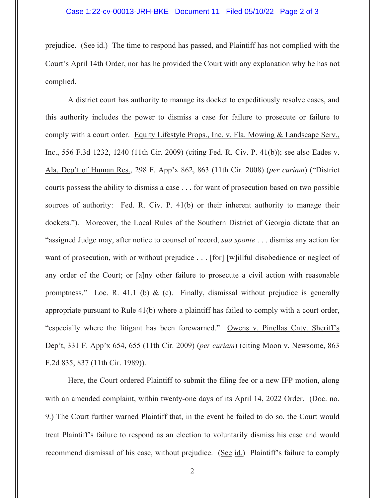#### Case 1:22-cv-00013-JRH-BKE Document 11 Filed 05/10/22 Page 2 of 3

prejudice. (See id.) The time to respond has passed, and Plaintiff has not complied with the Court's April 14th Order, nor has he provided the Court with any explanation why he has not complied.

A district court has authority to manage its docket to expeditiously resolve cases, and this authority includes the power to dismiss a case for failure to prosecute or failure to comply with a court order. Equity Lifestyle Props., Inc. v. Fla. Mowing & Landscape Serv., Inc., 556 F.3d 1232, 1240 (11th Cir. 2009) (citing Fed. R. Civ. P. 41(b)); see also Eades v. Ala. Dep't of Human Res., 298 F. App'x 862, 863 (11th Cir. 2008) (*per curiam*) ("District courts possess the ability to dismiss a case . . . for want of prosecution based on two possible sources of authority: Fed. R. Civ. P. 41(b) or their inherent authority to manage their dockets."). Moreover, the Local Rules of the Southern District of Georgia dictate that an "assigned Judge may, after notice to counsel of record, *sua sponte* . . . dismiss any action for want of prosecution, with or without prejudice . . . [for] [w]illful disobedience or neglect of any order of the Court; or [a]ny other failure to prosecute a civil action with reasonable promptness." Loc. R. 41.1 (b) & (c). Finally, dismissal without prejudice is generally appropriate pursuant to Rule 41(b) where a plaintiff has failed to comply with a court order, "especially where the litigant has been forewarned." Owens v. Pinellas Cnty. Sheriff's Dep't, 331 F. App'x 654, 655 (11th Cir. 2009) (*per curiam*) (citing Moon v. Newsome, 863 F.2d 835, 837 (11th Cir. 1989)).

Here, the Court ordered Plaintiff to submit the filing fee or a new IFP motion, along with an amended complaint, within twenty-one days of its April 14, 2022 Order. (Doc. no. 9.) The Court further warned Plaintiff that, in the event he failed to do so, the Court would treat Plaintiff's failure to respond as an election to voluntarily dismiss his case and would recommend dismissal of his case, without prejudice. (See id.) Plaintiff's failure to comply